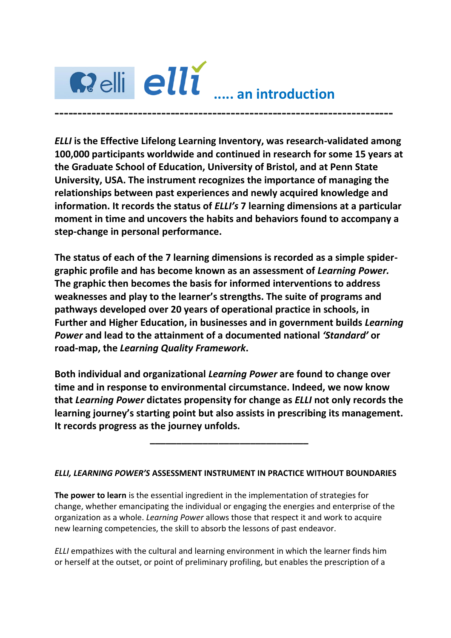

*ELLI* **is the Effective Lifelong Learning Inventory, was research-validated among 100,000 participants worldwide and continued in research for some 15 years at the Graduate School of Education, University of Bristol, and at Penn State University, USA. The instrument recognizes the importance of managing the relationships between past experiences and newly acquired knowledge and information. It records the status of** *ELLI's* **7 learning dimensions at a particular moment in time and uncovers the habits and behaviors found to accompany a step-change in personal performance.** 

**The status of each of the 7 learning dimensions is recorded as a simple spidergraphic profile and has become known as an assessment of** *Learning Power.*  **The graphic then becomes the basis for informed interventions to address weaknesses and play to the learner's strengths. The suite of programs and pathways developed over 20 years of operational practice in schools, in Further and Higher Education, in businesses and in government builds** *Learning Power* **and lead to the attainment of a documented national** *'Standard'* **or road-map, the** *Learning Quality Framework***.**

**Both individual and organizational** *Learning Power* **are found to change over time and in response to environmental circumstance. Indeed, we now know that** *Learning Power* **dictates propensity for change as** *ELLI* **not only records the learning journey's starting point but also assists in prescribing its management. It records progress as the journey unfolds.** 

**\_\_\_\_\_\_\_\_\_\_\_\_\_\_\_\_\_\_\_\_\_\_\_\_\_\_\_\_\_\_**

## *ELLI, LEARNING POWER'S* **ASSESSMENT INSTRUMENT IN PRACTICE WITHOUT BOUNDARIES**

**The power to learn** is the essential ingredient in the implementation of strategies for change, whether emancipating the individual or engaging the energies and enterprise of the organization as a whole. *Learning Power* allows those that respect it and work to acquire new learning competencies, the skill to absorb the lessons of past endeavor.

*ELLI* empathizes with the cultural and learning environment in which the learner finds him or herself at the outset, or point of preliminary profiling, but enables the prescription of a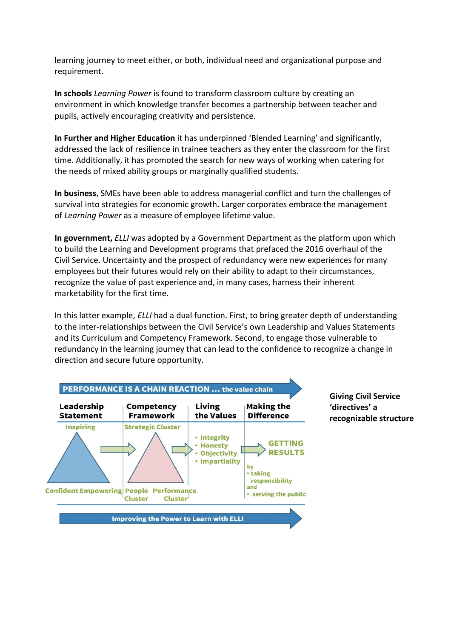learning journey to meet either, or both, individual need and organizational purpose and requirement.

**In schools** *Learning Power* is found to transform classroom culture by creating an environment in which knowledge transfer becomes a partnership between teacher and pupils, actively encouraging creativity and persistence.

**In Further and Higher Education** it has underpinned 'Blended Learning' and significantly, addressed the lack of resilience in trainee teachers as they enter the classroom for the first time. Additionally, it has promoted the search for new ways of working when catering for the needs of mixed ability groups or marginally qualified students.

**In business**, SMEs have been able to address managerial conflict and turn the challenges of survival into strategies for economic growth. Larger corporates embrace the management of *Learning Power* as a measure of employee lifetime value.

**In government,** *ELLI* was adopted by a Government Department as the platform upon which to build the Learning and Development programs that prefaced the 2016 overhaul of the Civil Service. Uncertainty and the prospect of redundancy were new experiences for many employees but their futures would rely on their ability to adapt to their circumstances, recognize the value of past experience and, in many cases, harness their inherent marketability for the first time.

In this latter example, *ELLI* had a dual function. First, to bring greater depth of understanding to the inter-relationships between the Civil Service's own Leadership and Values Statements and its Curriculum and Competency Framework. Second, to engage those vulnerable to redundancy in the learning journey that can lead to the confidence to recognize a change in direction and secure future opportunity.



**Giving Civil Service 'directives' a recognizable structure**